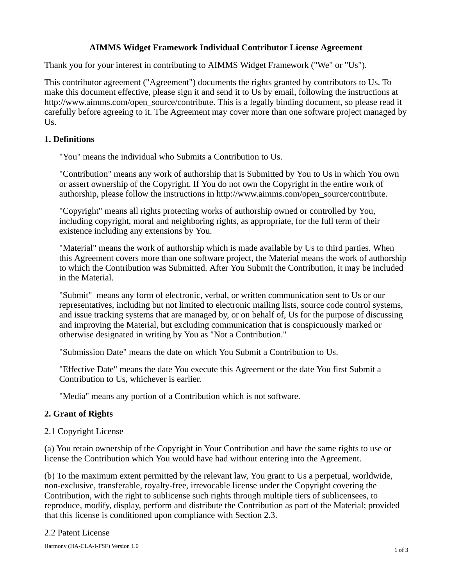## **AIMMS Widget Framework Individual Contributor License Agreement**

Thank you for your interest in contributing to AIMMS Widget Framework ("We" or "Us").

This contributor agreement ("Agreement") documents the rights granted by contributors to Us. To make this document effective, please sign it and send it to Us by email, following the instructions at http://www.aimms.com/open\_source/contribute. This is a legally binding document, so please read it carefully before agreeing to it. The Agreement may cover more than one software project managed by Us.

# **1. Definitions**

"You" means the individual who Submits a Contribution to Us.

"Contribution" means any work of authorship that is Submitted by You to Us in which You own or assert ownership of the Copyright. If You do not own the Copyright in the entire work of authorship, please follow the instructions in http://www.aimms.com/open\_source/contribute.

"Copyright" means all rights protecting works of authorship owned or controlled by You, including copyright, moral and neighboring rights, as appropriate, for the full term of their existence including any extensions by You.

"Material" means the work of authorship which is made available by Us to third parties. When this Agreement covers more than one software project, the Material means the work of authorship to which the Contribution was Submitted. After You Submit the Contribution, it may be included in the Material.

"Submit" means any form of electronic, verbal, or written communication sent to Us or our representatives, including but not limited to electronic mailing lists, source code control systems, and issue tracking systems that are managed by, or on behalf of, Us for the purpose of discussing and improving the Material, but excluding communication that is conspicuously marked or otherwise designated in writing by You as "Not a Contribution."

"Submission Date" means the date on which You Submit a Contribution to Us.

"Effective Date" means the date You execute this Agreement or the date You first Submit a Contribution to Us, whichever is earlier.

"Media" means any portion of a Contribution which is not software.

## **2. Grant of Rights**

## 2.1 Copyright License

(a) You retain ownership of the Copyright in Your Contribution and have the same rights to use or license the Contribution which You would have had without entering into the Agreement.

(b) To the maximum extent permitted by the relevant law, You grant to Us a perpetual, worldwide, non-exclusive, transferable, royalty-free, irrevocable license under the Copyright covering the Contribution, with the right to sublicense such rights through multiple tiers of sublicensees, to reproduce, modify, display, perform and distribute the Contribution as part of the Material; provided that this license is conditioned upon compliance with Section 2.3.

#### 2.2 Patent License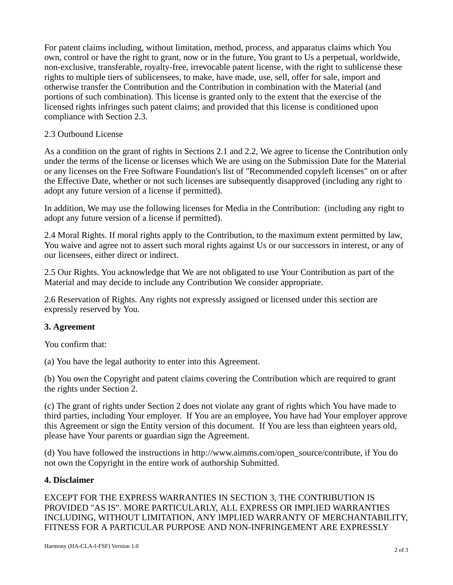For patent claims including, without limitation, method, process, and apparatus claims which You own, control or have the right to grant, now or in the future, You grant to Us a perpetual, worldwide, non-exclusive, transferable, royalty-free, irrevocable patent license, with the right to sublicense these rights to multiple tiers of sublicensees, to make, have made, use, sell, offer for sale, import and otherwise transfer the Contribution and the Contribution in combination with the Material (and portions of such combination). This license is granted only to the extent that the exercise of the licensed rights infringes such patent claims; and provided that this license is conditioned upon compliance with Section 2.3.

## 2.3 Outbound License

As a condition on the grant of rights in Sections 2.1 and 2.2, We agree to license the Contribution only under the terms of the license or licenses which We are using on the Submission Date for the Material or any licenses on the Free Software Foundation's list of "Recommended copyleft licenses" on or after the Effective Date, whether or not such licenses are subsequently disapproved (including any right to adopt any future version of a license if permitted).

In addition, We may use the following licenses for Media in the Contribution: (including any right to adopt any future version of a license if permitted).

2.4 Moral Rights. If moral rights apply to the Contribution, to the maximum extent permitted by law, You waive and agree not to assert such moral rights against Us or our successors in interest, or any of our licensees, either direct or indirect.

2.5 Our Rights. You acknowledge that We are not obligated to use Your Contribution as part of the Material and may decide to include any Contribution We consider appropriate.

2.6 Reservation of Rights. Any rights not expressly assigned or licensed under this section are expressly reserved by You.

## **3. Agreement**

You confirm that:

(a) You have the legal authority to enter into this Agreement.

(b) You own the Copyright and patent claims covering the Contribution which are required to grant the rights under Section 2.

(c) The grant of rights under Section 2 does not violate any grant of rights which You have made to third parties, including Your employer. If You are an employee, You have had Your employer approve this Agreement or sign the Entity version of this document. If You are less than eighteen years old, please have Your parents or guardian sign the Agreement.

(d) You have followed the instructions in http://www.aimms.com/open\_source/contribute, if You do not own the Copyright in the entire work of authorship Submitted.

## **4. Disclaimer**

EXCEPT FOR THE EXPRESS WARRANTIES IN SECTION 3, THE CONTRIBUTION IS PROVIDED "AS IS". MORE PARTICULARLY, ALL EXPRESS OR IMPLIED WARRANTIES INCLUDING, WITHOUT LIMITATION, ANY IMPLIED WARRANTY OF MERCHANTABILITY, FITNESS FOR A PARTICULAR PURPOSE AND NON-INFRINGEMENT ARE EXPRESSLY